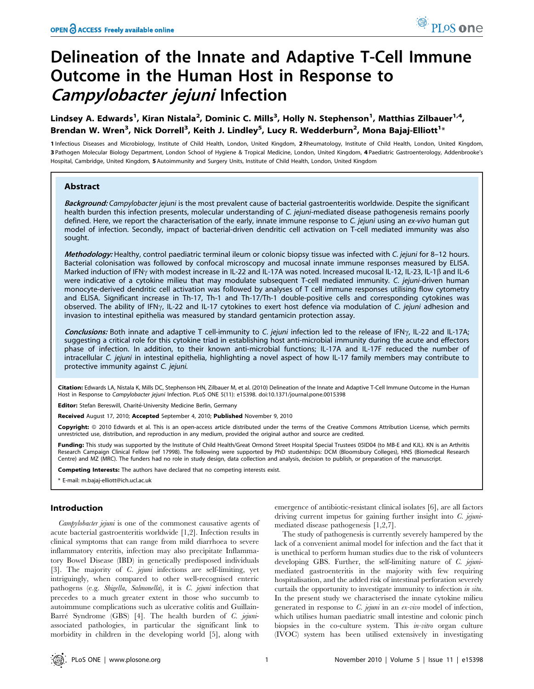# Delineation of the Innate and Adaptive T-Cell Immune Outcome in the Human Host in Response to Campylobacter jejuni Infection

Lindsey A. Edwards<sup>1</sup>, Kiran Nistala<sup>2</sup>, Dominic C. Mills<sup>3</sup>, Holly N. Stephenson<sup>1</sup>, Matthias Zilbauer<sup>1,4</sup>, Brendan W. Wren<sup>3</sup>, Nick Dorrell<sup>3</sup>, Keith J. Lindley<sup>5</sup>, Lucy R. Wedderburn<sup>2</sup>, Mona Bajaj-Elliott<sup>1</sup>\*

1 Infectious Diseases and Microbiology, Institute of Child Health, London, United Kingdom, 2 Rheumatology, Institute of Child Health, London, United Kingdom, 3 Pathogen Molecular Biology Department, London School of Hygiene & Tropical Medicine, London, United Kingdom, 4 Paediatric Gastroenterology, Addenbrooke's Hospital, Cambridge, United Kingdom, 5 Autoimmunity and Surgery Units, Institute of Child Health, London, United Kingdom

## Abstract

Background: Campylobacter jejuni is the most prevalent cause of bacterial gastroenteritis worldwide. Despite the significant health burden this infection presents, molecular understanding of C. jejuni-mediated disease pathogenesis remains poorly defined. Here, we report the characterisation of the early, innate immune response to C. jejuni using an ex-vivo human gut model of infection. Secondly, impact of bacterial-driven dendritic cell activation on T-cell mediated immunity was also sought.

Methodology: Healthy, control paediatric terminal ileum or colonic biopsy tissue was infected with C. jejuni for 8–12 hours. Bacterial colonisation was followed by confocal microscopy and mucosal innate immune responses measured by ELISA. Marked induction of IFN $\gamma$  with modest increase in IL-22 and IL-17A was noted. Increased mucosal IL-12, IL-23, IL-1 $\beta$  and IL-6 were indicative of a cytokine milieu that may modulate subsequent T-cell mediated immunity. C. jejuni-driven human monocyte-derived dendritic cell activation was followed by analyses of T cell immune responses utilising flow cytometry and ELISA. Significant increase in Th-17, Th-1 and Th-17/Th-1 double-positive cells and corresponding cytokines was observed. The ability of IFN $\gamma$ , IL-22 and IL-17 cytokines to exert host defence via modulation of C. jejuni adhesion and invasion to intestinal epithelia was measured by standard gentamicin protection assay.

Conclusions: Both innate and adaptive T cell-immunity to C. jejuni infection led to the release of IFN<sub>Y</sub>, IL-22 and IL-17A; suggesting a critical role for this cytokine triad in establishing host anti-microbial immunity during the acute and effectors phase of infection. In addition, to their known anti-microbial functions; IL-17A and IL-17F reduced the number of intracellular C. jejuni in intestinal epithelia, highlighting a novel aspect of how IL-17 family members may contribute to protective immunity against C. jejuni.

Citation: Edwards LA, Nistala K, Mills DC, Stephenson HN, Zilbauer M, et al. (2010) Delineation of the Innate and Adaptive T-Cell Immune Outcome in the Human Host in Response to Campylobacter jejuni Infection. PLoS ONE 5(11): e15398. doi:10.1371/journal.pone.0015398

Editor: Stefan Bereswill, Charité-University Medicine Berlin, Germany

Received August 17, 2010; Accepted September 4, 2010; Published November 9, 2010

Copyright: © 2010 Edwards et al. This is an open-access article distributed under the terms of the Creative Commons Attribution License, which permits unrestricted use, distribution, and reproduction in any medium, provided the original author and source are credited.

Funding: This study was supported by the Institute of Child Health/Great Ormond Street Hospital Special Trustees 05ID04 (to MB-E and KJL). KN is an Arthritis Research Campaign Clinical Fellow (ref 17998). The following were supported by PhD studentships: DCM (Bloomsbury Colleges), HNS (Biomedical Research Centre) and MZ (MRC). The funders had no role in study design, data collection and analysis, decision to publish, or preparation of the manuscript.

Competing Interests: The authors have declared that no competing interests exist.

\* E-mail: m.bajaj-elliott@ich.ucl.ac.uk

## Introduction

Campylobacter jejuni is one of the commonest causative agents of acute bacterial gastroenteritis worldwide [1,2]. Infection results in clinical symptoms that can range from mild diarrhoea to severe inflammatory enteritis, infection may also precipitate Inflammatory Bowel Disease (IBD) in genetically predisposed individuals [3]. The majority of C. jejuni infections are self-limiting, yet intriguingly, when compared to other well-recognised enteric pathogens (e.g. Shigella, Salmonella), it is C. jejuni infection that precedes to a much greater extent in those who succumb to autoimmune complications such as ulcerative colitis and Guillain-Barré Syndrome (GBS) [4]. The health burden of C. jejuniassociated pathologies, in particular the significant link to morbidity in children in the developing world [5], along with

emergence of antibiotic-resistant clinical isolates [6], are all factors driving current impetus for gaining further insight into  $C$ . jejunimediated disease pathogenesis [1,2,7].

The study of pathogenesis is currently severely hampered by the lack of a convenient animal model for infection and the fact that it is unethical to perform human studies due to the risk of volunteers developing GBS. Further, the self-limiting nature of  $C$ . jejunimediated gastroenteritis in the majority with few requiring hospitalisation, and the added risk of intestinal perforation severely curtails the opportunity to investigate immunity to infection in situ. In the present study we characterised the innate cytokine milieu generated in response to  $C.$  *jejuni* in an  $ex$ -vivo model of infection, which utilises human paediatric small intestine and colonic pinch biopsies in the co-culture system. This *in-vitro* organ culture (IVOC) system has been utilised extensively in investigating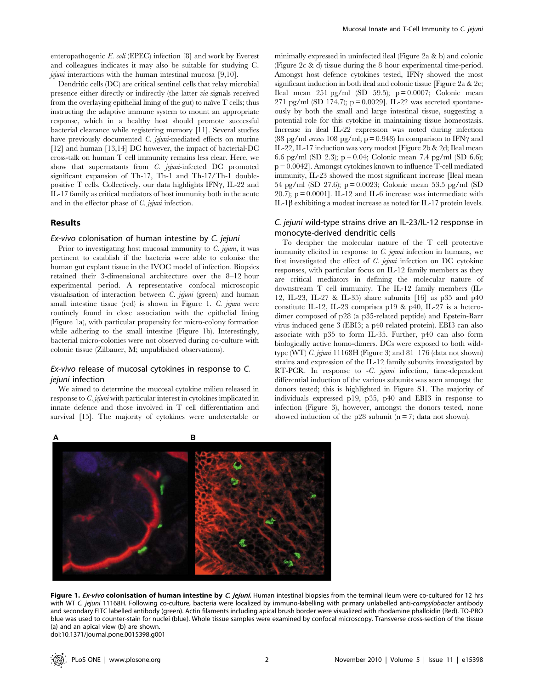enteropathogenic E. coli (EPEC) infection [8] and work by Everest and colleagues indicates it may also be suitable for studying C. jejuni interactions with the human intestinal mucosa [9,10].

Dendritic cells (DC) are critical sentinel cells that relay microbial presence either directly or indirectly (the latter via signals received from the overlaying epithelial lining of the gut) to naïve  $T$  cells; thus instructing the adaptive immune system to mount an appropriate response, which in a healthy host should promote successful bacterial clearance while registering memory [11]. Several studies have previously documented *C. jejuni*-mediated effects on murine [12] and human [13,14] DC however, the impact of bacterial-DC cross-talk on human T cell immunity remains less clear. Here, we show that supernatants from  $C$ . jejuni-infected DC promoted significant expansion of Th-17, Th-1 and Th-17/Th-1 doublepositive  $T$  cells. Collectively, our data highlights IFN $\gamma$ , IL-22 and IL-17 family as critical mediators of host immunity both in the acute and in the effector phase of C. jejuni infection.

## Results

## Ex-vivo colonisation of human intestine by C. jejuni

Prior to investigating host mucosal immunity to  $C$ , jejuni, it was pertinent to establish if the bacteria were able to colonise the human gut explant tissue in the IVOC model of infection. Biopsies retained their 3-dimensional architecture over the 8–12 hour experimental period. A representative confocal microscopic visualisation of interaction between C. jejuni (green) and human small intestine tissue (red) is shown in Figure 1. C. jejuni were routinely found in close association with the epithelial lining (Figure 1a), with particular propensity for micro-colony formation while adhering to the small intestine (Figure 1b). Interestingly, bacterial micro-colonies were not observed during co-culture with colonic tissue (Zilbauer, M; unpublished observations).

# Ex-vivo release of mucosal cytokines in response to C. jejuni infection

We aimed to determine the mucosal cytokine milieu released in response to C. jejuni with particular interest in cytokines implicated in innate defence and those involved in T cell differentiation and survival [15]. The majority of cytokines were undetectable or minimally expressed in uninfected ileal (Figure 2a & b) and colonic (Figure 2c & d) tissue during the 8 hour experimental time-period. Amongst host defence cytokines tested, IFN $\gamma$  showed the most significant induction in both ileal and colonic tissue [Figure 2a & 2c; Ileal mean  $251$  pg/ml (SD  $59.5$ ); p = 0.0007; Colonic mean 271 pg/ml (SD 174.7);  $p = 0.0029$ ]. IL-22 was secreted spontaneously by both the small and large intestinal tissue, suggesting a potential role for this cytokine in maintaining tissue homeostasis. Increase in ileal IL-22 expression was noted during infection (88 pg/ml versus 108 pg/ml;  $p = 0.948$ ) In comparison to IFN $\gamma$  and IL-22, IL-17 induction was very modest [Figure 2b & 2d; Ileal mean 6.6 pg/ml (SD 2.3); p = 0.04; Colonic mean 7.4 pg/ml (SD 6.6); p = 0.0042]. Amongst cytokines known to influence T-cell mediated immunity, IL-23 showed the most significant increase [Ileal mean 54 pg/ml (SD 27.6); p = 0.0023; Colonic mean 53.5 pg/ml (SD 20.7);  $p = 0.0001$ . IL-12 and IL-6 increase was intermediate with IL-1 $\beta$  exhibiting a modest increase as noted for IL-17 protein levels.

# C. jejuni wild-type strains drive an IL-23/IL-12 response in monocyte-derived dendritic cells

To decipher the molecular nature of the T cell protective immunity elicited in response to  $C$ . jejuni infection in humans, we first investigated the effect of C. jejuni infection on DC cytokine responses, with particular focus on IL-12 family members as they are critical mediators in defining the molecular nature of downstream T cell immunity. The IL-12 family members (IL-12, IL-23, IL-27 & IL-35) share subunits [16] as p35 and p40 constitute IL-12, IL-23 comprises p19 & p40, IL-27 is a heterodimer composed of p28 (a p35-related peptide) and Epstein-Barr virus induced gene 3 (EBI3; a p40 related protein). EBI3 can also associate with p35 to form IL-35. Further, p40 can also form biologically active homo-dimers. DCs were exposed to both wildtype (WT) C. jejuni 11168H (Figure 3) and 81–176 (data not shown) strains and expression of the IL-12 family subunits investigated by RT-PCR. In response to -C. jejuni infection, time-dependent differential induction of the various subunits was seen amongst the donors tested; this is highlighted in Figure S1. The majority of individuals expressed p19, p35, p40 and EBI3 in response to infection (Figure 3), however, amongst the donors tested, none showed induction of the p28 subunit ( $n = 7$ ; data not shown).



Figure 1. Ex-vivo colonisation of human intestine by C. jejuni. Human intestinal biopsies from the terminal ileum were co-cultured for 12 hrs with WT C. jejuni 11168H. Following co-culture, bacteria were localized by immuno-labelling with primary unlabelled anti-campylobacter antibody and secondary FITC labelled antibody (green). Actin filaments including apical brush border were visualized with rhodamine phalloidin (Red). TO-PRO blue was used to counter-stain for nuclei (blue). Whole tissue samples were examined by confocal microscopy. Transverse cross-section of the tissue (a) and an apical view (b) are shown. doi:10.1371/journal.pone.0015398.g001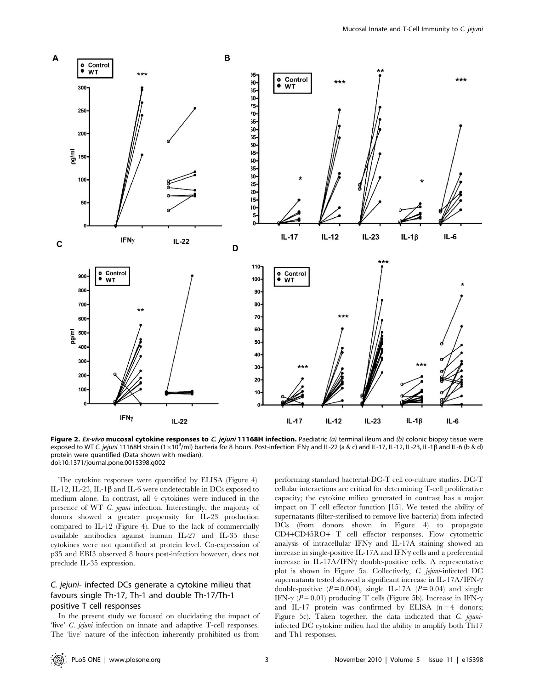

Figure 2. Ex-vivo mucosal cytokine responses to C. jejuni 11168H infection. Paediatric (a) terminal ileum and (b) colonic biopsy tissue were exposed to WT C. jejuni 11168H strain (1×10<sup>9</sup>/ml) bacteria for 8 hours. Post-infection IFN<sub>Y</sub> and IL-22 (a & c) and IL-17, IL-12, IL-23, IL-1ß and IL-6 (b & d) protein were quantified (Data shown with median). doi:10.1371/journal.pone.0015398.g002

The cytokine responses were quantified by ELISA (Figure 4). IL-12, IL-23, IL-1 $\beta$  and IL-6 were undetectable in DCs exposed to medium alone. In contrast, all 4 cytokines were induced in the presence of WT C. jejuni infection. Interestingly, the majority of donors showed a greater propensity for IL-23 production compared to IL-12 (Figure 4). Due to the lack of commercially available antibodies against human IL-27 and IL-35 these cytokines were not quantified at protein level. Co-expression of p35 and EBI3 observed 8 hours post-infection however, does not preclude IL-35 expression.

# C. jejuni- infected DCs generate a cytokine milieu that favours single Th-17, Th-1 and double Th-17/Th-1 positive T cell responses

In the present study we focused on elucidating the impact of 'live' C. jejuni infection on innate and adaptive T-cell responses. The 'live' nature of the infection inherently prohibited us from performing standard bacterial-DC-T cell co-culture studies. DC-T cellular interactions are critical for determining T-cell proliferative capacity; the cytokine milieu generated in contrast has a major impact on T cell effector function [15]. We tested the ability of supernatants (filter-sterilised to remove live bacteria) from infected DCs (from donors shown in Figure 4) to propagate CD4+CD45RO+ T cell effector responses. Flow cytometric analysis of intracellular IFN $\gamma$  and IL-17A staining showed an increase in single-positive IL-17A and IFN $\gamma$  cells and a preferential increase in IL-17A/IFN $\gamma$  double-positive cells. A representative plot is shown in Figure 5a. Collectively, C. jejuni-infected DC supernatants tested showed a significant increase in IL-17A/IFN- $\gamma$ double-positive ( $P = 0.004$ ), single IL-17A ( $P = 0.04$ ) and single IFN- $\gamma$  (P = 0.01) producing T cells (Figure 5b). Increase in IFN- $\gamma$ and IL-17 protein was confirmed by ELISA  $(n=4$  donors; Figure 5c). Taken together, the data indicated that C. jejuniinfected DC cytokine milieu had the ability to amplify both Th17 and Th1 responses.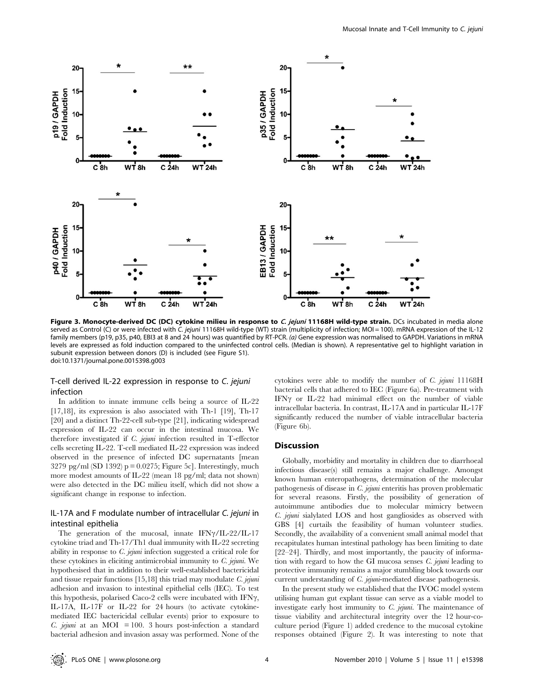

Figure 3. Monocyte-derived DC (DC) cytokine milieu in response to C. jejuni 11168H wild-type strain. DCs incubated in media alone served as Control (C) or were infected with C. jejuni 11168H wild-type (WT) strain (multiplicity of infection; MOI = 100). mRNA expression of the IL-12 family members (p19, p35, p40, EBI3 at 8 and 24 hours) was quantified by RT-PCR. (a) Gene expression was normalised to GAPDH. Variations in mRNA levels are expressed as fold induction compared to the uninfected control cells. (Median is shown). A representative gel to highlight variation in subunit expression between donors (D) is included (see Figure S1). doi:10.1371/journal.pone.0015398.g003

# T-cell derived IL-22 expression in response to C. jejuni infection

In addition to innate immune cells being a source of IL-22 [17,18], its expression is also associated with Th-1 [19], Th-17 [20] and a distinct Th-22-cell sub-type [21], indicating widespread expression of IL-22 can occur in the intestinal mucosa. We therefore investigated if C. jejuni infection resulted in T-effector cells secreting IL-22. T-cell mediated IL-22 expression was indeed observed in the presence of infected DC supernatants [mean  $3279$  pg/ml (SD 1392) p = 0.0275; Figure 5c]. Interestingly, much more modest amounts of IL-22 (mean 18 pg/ml; data not shown) were also detected in the DC milieu itself, which did not show a significant change in response to infection.

# IL-17A and F modulate number of intracellular C. jejuni in intestinal epithelia

The generation of the mucosal, innate  $IFN\gamma/IL-22/IL-17$ cytokine triad and Th-17/Th1 dual immunity with IL-22 secreting ability in response to C. jejuni infection suggested a critical role for these cytokines in eliciting antimicrobial immunity to C. jejuni. We hypothesised that in addition to their well-established bactericidal and tissue repair functions  $[15,18]$  this triad may modulate C. jejuni adhesion and invasion to intestinal epithelial cells (IEC). To test this hypothesis, polarised Caco-2 cells were incubated with IFN $\gamma$ , IL-17A, IL-17F or IL-22 for 24 hours (to activate cytokinemediated IEC bactericidal cellular events) prior to exposure to C. jejuni at an MOI = 100. 3 hours post-infection a standard bacterial adhesion and invasion assay was performed. None of the

cytokines were able to modify the number of C. jejuni 11168H bacterial cells that adhered to IEC (Figure 6a). Pre-treatment with IFN $\gamma$  or IL-22 had minimal effect on the number of viable intracellular bacteria. In contrast, IL-17A and in particular IL-17F significantly reduced the number of viable intracellular bacteria (Figure 6b).

## Discussion

Globally, morbidity and mortality in children due to diarrhoeal infectious disease(s) still remains a major challenge. Amongst known human enteropathogens, determination of the molecular pathogenesis of disease in C. jejuni enteritis has proven problematic for several reasons. Firstly, the possibility of generation of autoimmune antibodies due to molecular mimicry between C. jejuni sialylated LOS and host gangliosides as observed with GBS [4] curtails the feasibility of human volunteer studies. Secondly, the availability of a convenient small animal model that recapitulates human intestinal pathology has been limiting to date [22–24]. Thirdly, and most importantly, the paucity of information with regard to how the GI mucosa senses C. jejuni leading to protective immunity remains a major stumbling block towards our current understanding of C. jejuni-mediated disease pathogenesis.

In the present study we established that the IVOC model system utilising human gut explant tissue can serve as a viable model to investigate early host immunity to C. jejuni. The maintenance of tissue viability and architectural integrity over the 12 hour-coculture period (Figure 1) added credence to the mucosal cytokine responses obtained (Figure 2). It was interesting to note that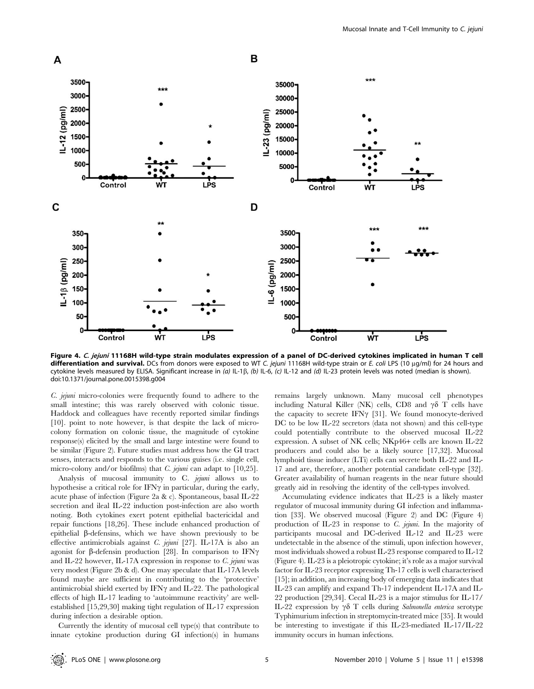

Figure 4. C. jejuni 11168H wild-type strain modulates expression of a panel of DC-derived cytokines implicated in human T cell differentiation and survival. DCs from donors were exposed to WT C. jejuni 11168H wild-type strain or E. coli LPS (10 µg/ml) for 24 hours and cytokine levels measured by ELISA. Significant increase in (a) IL-1 $\beta$ , (b) IL-6, (c) IL-12 and (d) IL-23 protein levels was noted (median is shown). doi:10.1371/journal.pone.0015398.g004

C. jejuni micro-colonies were frequently found to adhere to the small intestine; this was rarely observed with colonic tissue. Haddock and colleagues have recently reported similar findings [10]. point to note however, is that despite the lack of microcolony formation on colonic tissue, the magnitude of cytokine response(s) elicited by the small and large intestine were found to be similar (Figure 2). Future studies must address how the GI tract senses, interacts and responds to the various guises (i.e. single cell, micro-colony and/or biofilms) that *C. jejuni* can adapt to [10,25].

Analysis of mucosal immunity to C. jejuni allows us to hypothesise a critical role for IFN $\gamma$  in particular, during the early, acute phase of infection (Figure 2a & c). Spontaneous, basal IL-22 secretion and ileal IL-22 induction post-infection are also worth noting. Both cytokines exert potent epithelial bactericidal and repair functions [18,26]. These include enhanced production of epithelial β-defensins, which we have shown previously to be effective antimicrobials against C. jejuni [27]. IL-17A is also an agonist for  $\beta$ -defensin production [28]. In comparison to IFN $\gamma$ and IL-22 however, IL-17A expression in response to  $C$ . *jejuni* was very modest (Figure 2b & d). One may speculate that IL-17A levels found maybe are sufficient in contributing to the 'protective' antimicrobial shield exerted by IFN $\gamma$  and IL-22. The pathological effects of high IL-17 leading to 'autoimmune reactivity' are wellestablished [15,29,30] making tight regulation of IL-17 expression during infection a desirable option.

Currently the identity of mucosal cell type(s) that contribute to innate cytokine production during GI infection(s) in humans remains largely unknown. Many mucosal cell phenotypes including Natural Killer (NK) cells, CD8 and  $\gamma\delta$  T cells have the capacity to secrete IFN $\gamma$  [31]. We found monocyte-derived DC to be low IL-22 secretors (data not shown) and this cell-type could potentially contribute to the observed mucosal IL-22 expression. A subset of NK cells; NKp46+ cells are known IL-22 producers and could also be a likely source [17,32]. Mucosal lymphoid tissue inducer (LTi) cells can secrete both IL-22 and IL-17 and are, therefore, another potential candidate cell-type [32]. Greater availability of human reagents in the near future should greatly aid in resolving the identity of the cell-types involved.

Accumulating evidence indicates that IL-23 is a likely master regulator of mucosal immunity during GI infection and inflammation [33]. We observed mucosal (Figure 2) and DC (Figure 4) production of IL-23 in response to C. jejuni. In the majority of participants mucosal and DC-derived IL-12 and IL-23 were undetectable in the absence of the stimuli, upon infection however, most individuals showed a robust IL-23 response compared to IL-12 (Figure 4). IL-23 is a pleiotropic cytokine; it's role as a major survival factor for IL-23 receptor expressing Th-17 cells is well characterised [15]; in addition, an increasing body of emerging data indicates that IL-23 can amplify and expand Th-17 independent IL-17A and IL-22 production [29,34]. Cecal IL-23 is a major stimulus for IL-17/ IL-22 expression by  $\gamma\delta$  T cells during Salmonella enterica serotype Typhimurium infection in streptomycin-treated mice [35]. It would be interesting to investigate if this IL-23-mediated IL-17/IL-22 immunity occurs in human infections.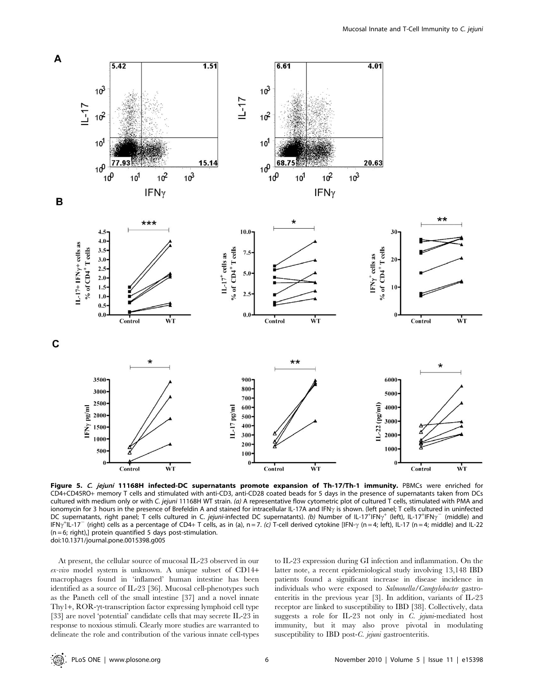

Figure 5. C. jejuni 11168H infected-DC supernatants promote expansion of Th-17/Th-1 immunity. PBMCs were enriched for CD4+CD45RO+ memory T cells and stimulated with anti-CD3, anti-CD28 coated beads for 5 days in the presence of supernatants taken from DCs cultured with medium only or with C. jejuni 11168H WT strain. (a) A representative flow cytometric plot of cultured T cells, stimulated with PMA and ionomycin for 3 hours in the presence of Brefeldin A and stained for intracellular IL-17A and IFN<sub>7</sub> is shown. (left panel; T cells cultured in uninfected DC supernatants, right panel; T cells cultured in C. jejuni-infected DC supernatants). (b) Number of IL-17<sup>+</sup>IFN<sub>7</sub><sup>+</sup> (left), IL-17<sup>+</sup>IFN<sub>7</sub><sup>-</sup> (middle) and IFN $\gamma^+$ IL-17 $^-$  (right) cells as a percentage of CD4+ T cells, as in (a), n = 7. (c) T-cell derived cytokine [IFN- $\gamma$  (n = 4; left), IL-17 (n = 4; middle) and IL-22 (n = 6; right),] protein quantified 5 days post-stimulation. doi:10.1371/journal.pone.0015398.g005

At present, the cellular source of mucosal IL-23 observed in our ex-vivo model system is unknown. A unique subset of CD14+ macrophages found in 'inflamed' human intestine has been identified as a source of IL-23 [36]. Mucosal cell-phenotypes such as the Paneth cell of the small intestine [37] and a novel innate Thy1+,  $ROR-\gamma t$ -transcription factor expressing lymphoid cell type [33] are novel 'potential' candidate cells that may secrete IL-23 in response to noxious stimuli. Clearly more studies are warranted to delineate the role and contribution of the various innate cell-types to IL-23 expression during GI infection and inflammation. On the latter note, a recent epidemiological study involving 13,148 IBD patients found a significant increase in disease incidence in individuals who were exposed to Salmonella/Campylobacter gastroenteritis in the previous year [3]. In addition, variants of IL-23 receptor are linked to susceptibility to IBD [38]. Collectively, data suggests a role for IL-23 not only in C. jejuni-mediated host immunity, but it may also prove pivotal in modulating susceptibility to IBD post-C. jejuni gastroenteritis.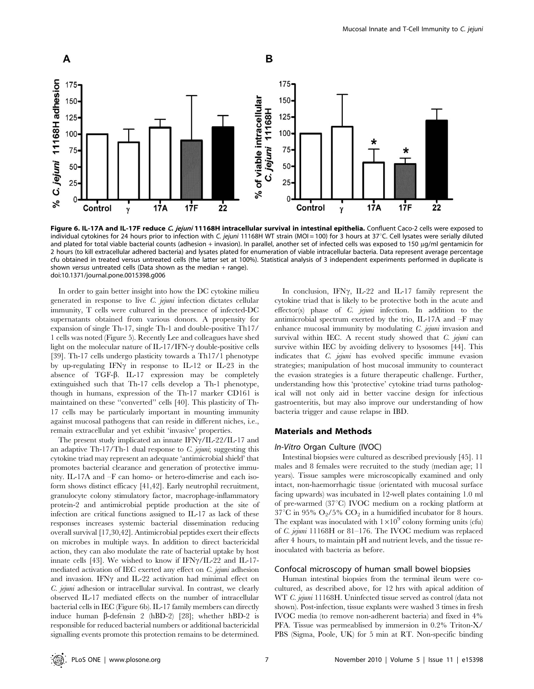

Figure 6. IL-17A and IL-17F reduce C. jejuni 11168H intracellular survival in intestinal epithelia. Confluent Caco-2 cells were exposed to individual cytokines for 24 hours prior to infection with C. jejuni 11168H WT strain (MOI = 100) for 3 hours at 37°C. Cell lysates were serially diluted and plated for total viable bacterial counts (adhesion + invasion). In parallel, another set of infected cells was exposed to 150 ug/ml gentamicin for 2 hours (to kill extracellular adhered bacteria) and lysates plated for enumeration of viable intracellular bacteria. Data represent average percentage cfu obtained in treated versus untreated cells (the latter set at 100%). Statistical analysis of 3 independent experiments performed in duplicate is shown versus untreated cells (Data shown as the median  $+$  range). doi:10.1371/journal.pone.0015398.g006

In order to gain better insight into how the DC cytokine milieu generated in response to live C. jejuni infection dictates cellular immunity, T cells were cultured in the presence of infected-DC supernatants obtained from various donors. A propensity for expansion of single Th-17, single Th-1 and double-positive Th17/ 1 cells was noted (Figure 5). Recently Lee and colleagues have shed light on the molecular nature of IL-17/IFN- $\gamma$  double-positive cells [39]. Th-17 cells undergo plasticity towards a Th17/1 phenotype by up-regulating IFN $\gamma$  in response to IL-12 or IL-23 in the absence of TGF- $\beta$ . IL-17 expression may be completely extinguished such that Th-17 cells develop a Th-1 phenotype, though in humans, expression of the Th-17 marker CD161 is maintained on these ''converted'' cells [40]. This plasticity of Th-17 cells may be particularly important in mounting immunity against mucosal pathogens that can reside in different niches, i.e., remain extracellular and yet exhibit 'invasive' properties.

The present study implicated an innate  $IFN\gamma/IL-22/IL-17$  and an adaptive Th-17/Th-1 dual response to  $C$ . jejuni; suggesting this cytokine triad may represent an adequate 'antimicrobial shield' that promotes bacterial clearance and generation of protective immunity. IL-17A and –F can homo- or hetero-dimerise and each isoform shows distinct efficacy [41,42]. Early neutrophil recruitment, granulocyte colony stimulatory factor, macrophage-inflammatory protein-2 and antimicrobial peptide production at the site of infection are critical functions assigned to IL-17 as lack of these responses increases systemic bacterial dissemination reducing overall survival [17,30,42]. Antimicrobial peptides exert their effects on microbes in multiple ways. In addition to direct bactericidal action, they can also modulate the rate of bacterial uptake by host innate cells [43]. We wished to know if  $IFN\gamma/IL-22$  and IL-17mediated activation of IEC exerted any effect on C. jejuni adhesion and invasion. IFN $\gamma$  and IL-22 activation had minimal effect on C. jejuni adhesion or intracellular survival. In contrast, we clearly observed IL-17 mediated effects on the number of intracellular bacterial cells in IEC (Figure 6b). IL-17 family members can directly induce human  $\beta$ -defensin 2 (hBD-2) [28]; whether hBD-2 is responsible for reduced bacterial numbers or additional bactericidal signalling events promote this protection remains to be determined.

In conclusion, IFN $\gamma$ , IL-22 and IL-17 family represent the cytokine triad that is likely to be protective both in the acute and effector(s) phase of *C. jejuni* infection. In addition to the antimicrobial spectrum exerted by the trio, IL-17A and –F may enhance mucosal immunity by modulating *C. jejuni* invasion and survival within IEC. A recent study showed that  $C$ . jejuni can survive within IEC by avoiding delivery to lysosomes [44]. This indicates that C. jejuni has evolved specific immune evasion strategies; manipulation of host mucosal immunity to counteract the evasion strategies is a future therapeutic challenge. Further, understanding how this 'protective' cytokine triad turns pathological will not only aid in better vaccine design for infectious gastroenteritis, but may also improve our understanding of how bacteria trigger and cause relapse in IBD.

## Materials and Methods

#### In-Vitro Organ Culture (IVOC)

Intestinal biopsies were cultured as described previously [45]. 11 males and 8 females were recruited to the study (median age; 11 years). Tissue samples were microscopically examined and only intact, non-haemorrhagic tissue (orientated with mucosal surface facing upwards) was incubated in 12-well plates containing 1.0 ml of pre-warmed (37°C) IVOC medium on a rocking platform at  $37^{\circ}\mathrm{C}$  in 95% O<sub>2</sub>/5% CO<sub>2</sub> in a humidified incubator for 8 hours. The explant was inoculated with  $1\times10^9$  colony forming units (cfu) of C. jejuni 11168H or 81–176. The IVOC medium was replaced after 4 hours, to maintain pH and nutrient levels, and the tissue reinoculated with bacteria as before.

#### Confocal microscopy of human small bowel biopsies

Human intestinal biopsies from the terminal ileum were cocultured, as described above, for 12 hrs with apical addition of WT C. jejuni 11168H. Uninfected tissue served as control (data not shown). Post-infection, tissue explants were washed 3 times in fresh IVOC media (to remove non-adherent bacteria) and fixed in 4% PFA. Tissue was permeablised by immersion in 0.2% Triton-X/ PBS (Sigma, Poole, UK) for 5 min at RT. Non-specific binding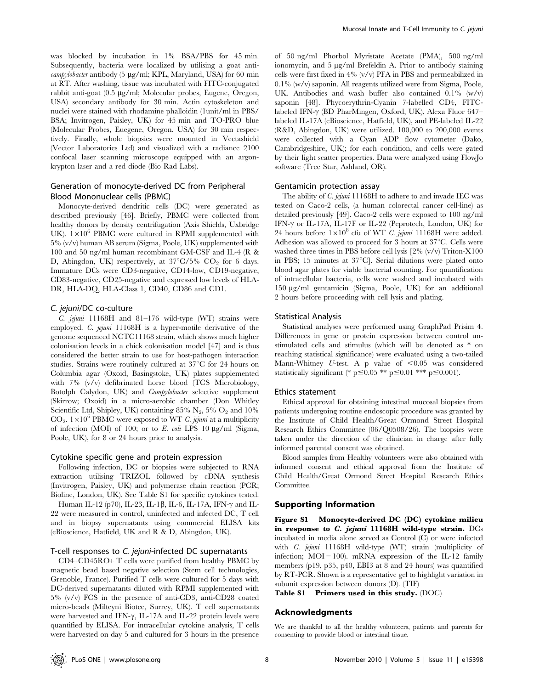was blocked by incubation in 1% BSA/PBS for 45 min. Subsequently, bacteria were localized by utilising a goat anti- $\alpha$ *campylobacter* antibody (5  $\mu$ g/ml; KPL, Maryland, USA) for 60 min at RT. After washing, tissue was incubated with FITC-conjugated rabbit anti-goat (0.5 µg/ml; Molecular probes, Eugene, Oregon, USA) secondary antibody for 30 min. Actin cytoskeleton and nuclei were stained with rhodamine phalloidin (1unit/ml in PBS/ BSA; Invitrogen, Paisley, UK) for 45 min and TO-PRO blue (Molecular Probes, Euegene, Oregon, USA) for 30 min respectively. Finally, whole biopsies were mounted in Vectashield (Vector Laboratories Ltd) and visualized with a radiance 2100 confocal laser scanning microscope equipped with an argonkrypton laser and a red diode (Bio Rad Labs).

# Generation of monocyte-derived DC from Peripheral Blood Mononuclear cells (PBMC)

Monocyte-derived dendritic cells (DC) were generated as described previously [46]. Briefly, PBMC were collected from healthy donors by density centrifugation (Axis Shields, Uxbridge UK).  $1\times10^6$  PBMC were cultured in RPMI supplemented with 5% (v/v) human AB serum (Sigma, Poole, UK) supplemented with 100 and 50 ng/ml human recombinant GM-CSF and IL-4 (R & D, Abingdon, UK) respectively, at  $37^{\circ}C/5\%$  CO<sub>2</sub> for 6 days. Immature DCs were CD3-negative, CD14-low, CD19-negative, CD83-negative, CD25-negative and expressed low levels of HLA-DR, HLA-DQ, HLA-Class 1, CD40, CD86 and CD1.

#### C. jejuni/DC co-culture

C. jejuni 11168H and 81–176 wild-type (WT) strains were employed. C. jejuni 11168H is a hyper-motile derivative of the genome sequenced NCTC11168 strain, which shows much higher colonisation levels in a chick colonisation model [47] and is thus considered the better strain to use for host-pathogen interaction studies. Strains were routinely cultured at  $37^{\circ}$ C for 24 hours on Columbia agar (Oxoid, Basingstoke, UK) plates supplemented with 7% (v/v) defibrinated horse blood (TCS Microbiology, Botolph Calydon, UK) and Campylobacter selective supplement (Skirrow; Oxoid) in a micro-aerobic chamber (Don Whitley Scientific Ltd, Shipley, UK) containing 85%  $N_2$ , 5%  $O_2$  and 10%  $CO<sub>2</sub>$ .  $1\times10<sup>6</sup>$  PBMC were exposed to WT C. jejuni at a multiplicity of infection (MOI) of 100; or to E. coli LPS 10  $\mu$ g/ml (Sigma, Poole, UK), for 8 or 24 hours prior to analysis.

#### Cytokine specific gene and protein expression

Following infection, DC or biopsies were subjected to RNA extraction utilising TRIZOL followed by cDNA synthesis (Invitrogen, Paisley, UK) and polymerase chain reaction (PCR; Bioline, London, UK). See Table S1 for specific cytokines tested.

Human IL-12 (p70), IL-23, IL-1 $\beta$ , IL-6, IL-17A, IFN- $\gamma$  and IL-22 were measured in control, uninfected and infected DC, T cell and in biopsy supernatants using commercial ELISA kits (eBioscience, Hatfield, UK and R & D, Abingdon, UK).

## T-cell responses to C. jejuni-infected DC supernatants

CD4+CD45RO+ T cells were purified from healthy PBMC by magnetic bead based negative selection (Stem cell technologies, Grenoble, France). Purified T cells were cultured for 5 days with DC-derived supernatants diluted with RPMI supplemented with 5% (v/v) FCS in the presence of anti-CD3, anti-CD28 coated micro-beads (Milteyni Biotec, Surrey, UK). T cell supernatants were harvested and IFN- $\gamma$ , IL-17A and IL-22 protein levels were quantified by ELISA. For intracellular cytokine analysis, T cells were harvested on day 5 and cultured for 3 hours in the presence

of 50 ng/ml Phorbol Myristate Acetate (PMA), 500 ng/ml ionomycin, and  $5 \mu g/ml$  Brefeldin A. Prior to antibody staining cells were first fixed in 4% (v/v) PFA in PBS and permeabilized in 0.1% (w/v) saponin. All reagents utilized were from Sigma, Poole, UK. Antibodies and wash buffer also contained 0.1% (w/v) saponin [48]. Phycoerythrin-Cyanin 7-labelled CD4, FITClabeled IFN- $\gamma$  (BD PharMingen, Oxford, UK), Alexa Fluor 647– labeled IL-17A (eBioscience, Hatfield, UK), and PE-labeled IL-22 (R&D, Abingdon, UK) were utilized. 100,000 to 200,000 events were collected with a Cyan ADP flow cytometer (Dako, Cambridgeshire, UK); for each condition, and cells were gated by their light scatter properties. Data were analyzed using FlowJo software (Tree Star, Ashland, OR).

#### Gentamicin protection assay

The ability of C. jejuni 11168H to adhere to and invade IEC was tested on Caco-2 cells, (a human colorectal cancer cell-line) as detailed previously [49]. Caco-2 cells were exposed to 100 ng/ml IFN- $\gamma$  or IL-17A, IL-17F or IL-22 (Peprotech, London, UK) for 24 hours before  $1\times10^8$  cfu of WT *C. jejuni* 11168H were added. Adhesion was allowed to proceed for 3 hours at  $37^{\circ}$ C. Cells were washed three times in PBS before cell lysis [2% (v/v) Triton-X100 in PBS; 15 minutes at  $37^{\circ}$ C]. Serial dilutions were plated onto blood agar plates for viable bacterial counting. For quantification of intracellular bacteria, cells were washed and incubated with 150 mg/ml gentamicin (Sigma, Poole, UK) for an additional 2 hours before proceeding with cell lysis and plating.

#### Statistical Analysis

Statistical analyses were performed using GraphPad Prisim 4. Differences in gene or protein expression between control unstimulated cells and stimulus (which will be denoted as \* on reaching statistical significance) were evaluated using a two-tailed Mann-Whitney U-test. A p value of  $< 0.05$  was considered statistically significant (\* p $\leq 0.05$  \*\* p $\leq 0.01$  \*\*\* p $\leq 0.001$ ).

#### Ethics statement

Ethical approval for obtaining intestinal mucosal biopsies from patients undergoing routine endoscopic procedure was granted by the Institute of Child Health/Great Ormond Street Hospital Research Ethics Committee (06/Q0508/26). The biopsies were taken under the direction of the clinician in charge after fully informed parental consent was obtained.

Blood samples from Healthy volunteers were also obtained with informed consent and ethical approval from the Institute of Child Health/Great Ormond Street Hospital Research Ethics Committee.

### Supporting Information

Figure S1 Monocyte-derived DC (DC) cytokine milieu in response to  $C$ . jejuni 11168H wild-type strain. DCs incubated in media alone served as Control (C) or were infected with C. jejuni 11168H wild-type (WT) strain (multiplicity of infection; MOI = 100). mRNA expression of the IL-12 family members (p19, p35, p40, EBI3 at 8 and 24 hours) was quantified by RT-PCR. Shown is a representative gel to highlight variation in subunit expression between donors (D). (TIF)

Table S1 Primers used in this study. (DOC)

# Acknowledgments

We are thankful to all the healthy volunteers, patients and parents for consenting to provide blood or intestinal tissue.